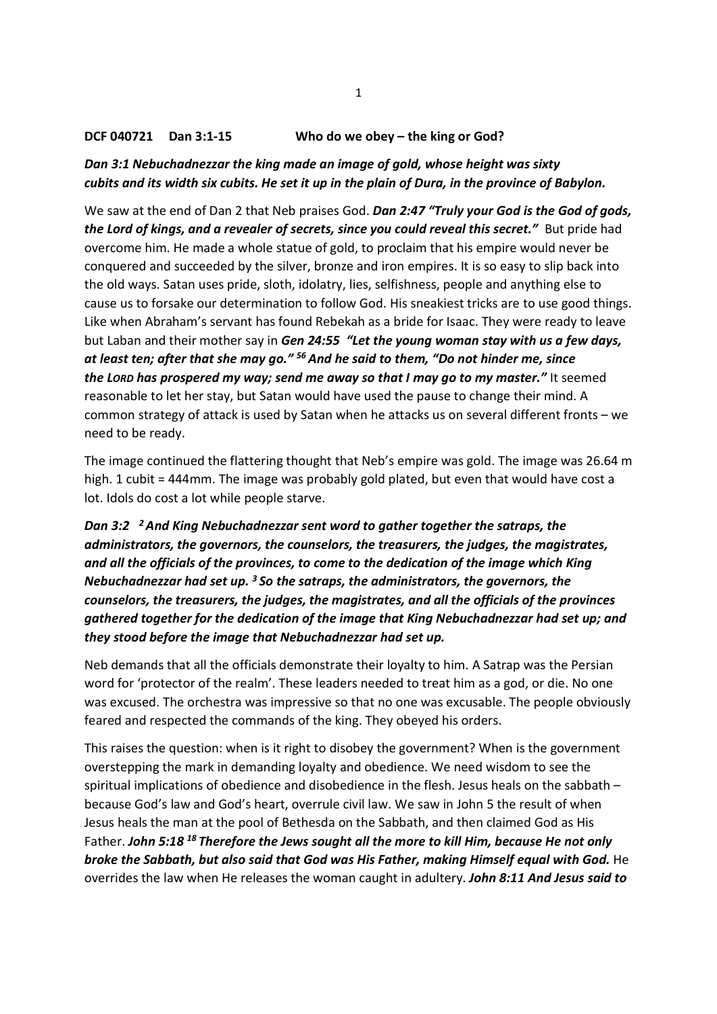### DCF 040721 Dan 3:1-15 Who do we obey – the king or God?

### Dan 3:1 Nebuchadnezzar the king made an image of gold, whose height was sixty cubits and its width six cubits. He set it up in the plain of Dura, in the province of Babylon.

We saw at the end of Dan 2 that Neb praises God. Dan 2:47 "Truly your God is the God of gods, the Lord of kings, and a revealer of secrets, since you could reveal this secret." But pride had overcome him. He made a whole statue of gold, to proclaim that his empire would never be conquered and succeeded by the silver, bronze and iron empires. It is so easy to slip back into the old ways. Satan uses pride, sloth, idolatry, lies, selfishness, people and anything else to cause us to forsake our determination to follow God. His sneakiest tricks are to use good things. Like when Abraham's servant has found Rebekah as a bride for Isaac. They were ready to leave but Laban and their mother say in Gen 24:55 "Let the young woman stay with us a few days, at least ten; after that she may go."  $56$  And he said to them, "Do not hinder me, since the LORD has prospered my way; send me away so that I may go to my master." It seemed reasonable to let her stay, but Satan would have used the pause to change their mind. A common strategy of attack is used by Satan when he attacks us on several different fronts – we need to be ready.

The image continued the flattering thought that Neb's empire was gold. The image was 26.64 m high. 1 cubit = 444mm. The image was probably gold plated, but even that would have cost a lot. Idols do cost a lot while people starve.

# Dan 3:2  $^{-2}$  And King Nebuchadnezzar sent word to gather together the satraps, the administrators, the governors, the counselors, the treasurers, the judges, the magistrates, and all the officials of the provinces, to come to the dedication of the image which King Nebuchadnezzar had set up.  $3$  So the satraps, the administrators, the governors, the counselors, the treasurers, the judges, the magistrates, and all the officials of the provinces gathered together for the dedication of the image that King Nebuchadnezzar had set up; and they stood before the image that Nebuchadnezzar had set up.

Neb demands that all the officials demonstrate their loyalty to him. A Satrap was the Persian word for 'protector of the realm'. These leaders needed to treat him as a god, or die. No one was excused. The orchestra was impressive so that no one was excusable. The people obviously feared and respected the commands of the king. They obeyed his orders.

This raises the question: when is it right to disobey the government? When is the government overstepping the mark in demanding loyalty and obedience. We need wisdom to see the spiritual implications of obedience and disobedience in the flesh. Jesus heals on the sabbath – because God's law and God's heart, overrule civil law. We saw in John 5 the result of when Jesus heals the man at the pool of Bethesda on the Sabbath, and then claimed God as His Father. John 5:18  $^{18}$  Therefore the Jews sought all the more to kill Him, because He not only broke the Sabbath, but also said that God was His Father, making Himself equal with God. He overrides the law when He releases the woman caught in adultery. John 8:11 And Jesus said to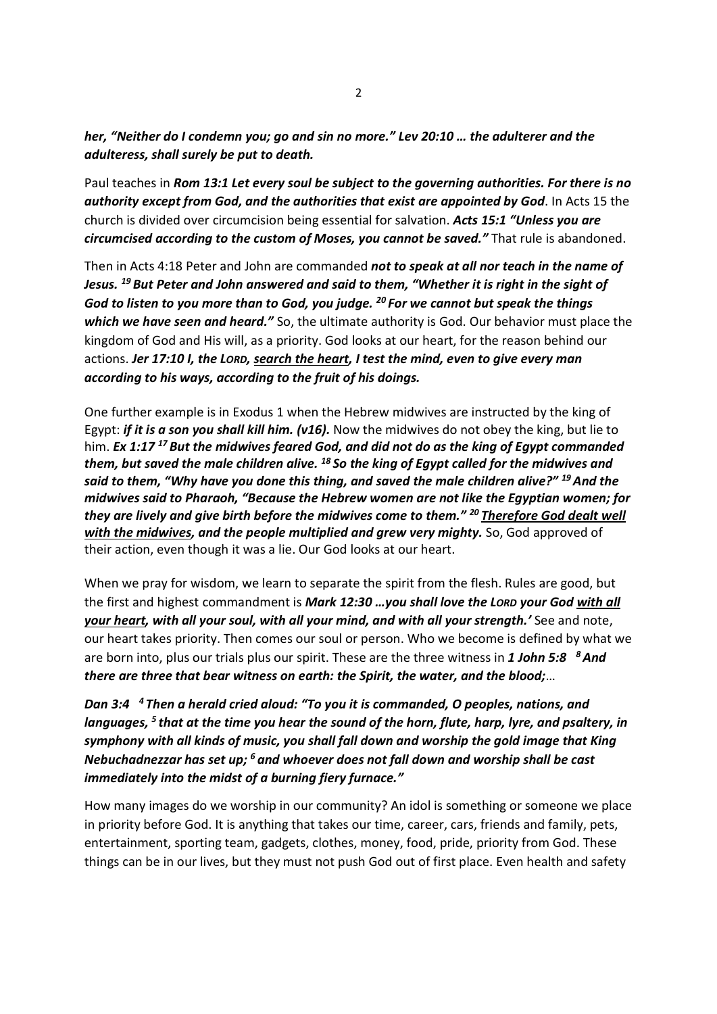her, "Neither do I condemn you; go and sin no more." Lev 20:10 … the adulterer and the adulteress, shall surely be put to death.

Paul teaches in Rom 13:1 Let every soul be subject to the governing authorities. For there is no authority except from God, and the authorities that exist are appointed by God. In Acts 15 the church is divided over circumcision being essential for salvation. Acts 15:1 "Unless you are circumcised according to the custom of Moses, you cannot be saved." That rule is abandoned.

Then in Acts 4:18 Peter and John are commanded not to speak at all nor teach in the name of Jesus.  $^{19}$  But Peter and John answered and said to them, "Whether it is right in the sight of God to listen to you more than to God, you judge.  $^{20}$  For we cannot but speak the things which we have seen and heard." So, the ultimate authority is God. Our behavior must place the kingdom of God and His will, as a priority. God looks at our heart, for the reason behind our actions. Jer 17:10 I, the LORD, search the heart, I test the mind, even to give every man according to his ways, according to the fruit of his doings.

One further example is in Exodus 1 when the Hebrew midwives are instructed by the king of Egypt: if it is a son you shall kill him. (v16). Now the midwives do not obey the king, but lie to him. Ex 1:17<sup>17</sup> But the midwives feared God, and did not do as the king of Egypt commanded them, but saved the male children alive.  $^{18}$  So the king of Egypt called for the midwives and said to them, "Why have you done this thing, and saved the male children alive?" <sup>19</sup> And the midwives said to Pharaoh, "Because the Hebrew women are not like the Egyptian women; for they are lively and give birth before the midwives come to them." <sup>20</sup> Therefore God dealt well with the midwives, and the people multiplied and grew very mighty. So, God approved of their action, even though it was a lie. Our God looks at our heart.

When we pray for wisdom, we learn to separate the spirit from the flesh. Rules are good, but the first and highest commandment is Mark 12:30 ... you shall love the LORD your God with all your heart, with all your soul, with all your mind, and with all your strength.' See and note, our heart takes priority. Then comes our soul or person. Who we become is defined by what we are born into, plus our trials plus our spirit. These are the three witness in 1 John 5:8  $8$  And there are three that bear witness on earth: the Spirit, the water, and the blood;…

Dan 3:4 <sup>4</sup>Then a herald cried aloud: "To you it is commanded, O peoples, nations, and languages,  $5$  that at the time you hear the sound of the horn, flute, harp, lyre, and psaltery, in symphony with all kinds of music, you shall fall down and worship the gold image that King Nebuchadnezzar has set up;  $6$  and whoever does not fall down and worship shall be cast immediately into the midst of a burning fiery furnace."

How many images do we worship in our community? An idol is something or someone we place in priority before God. It is anything that takes our time, career, cars, friends and family, pets, entertainment, sporting team, gadgets, clothes, money, food, pride, priority from God. These things can be in our lives, but they must not push God out of first place. Even health and safety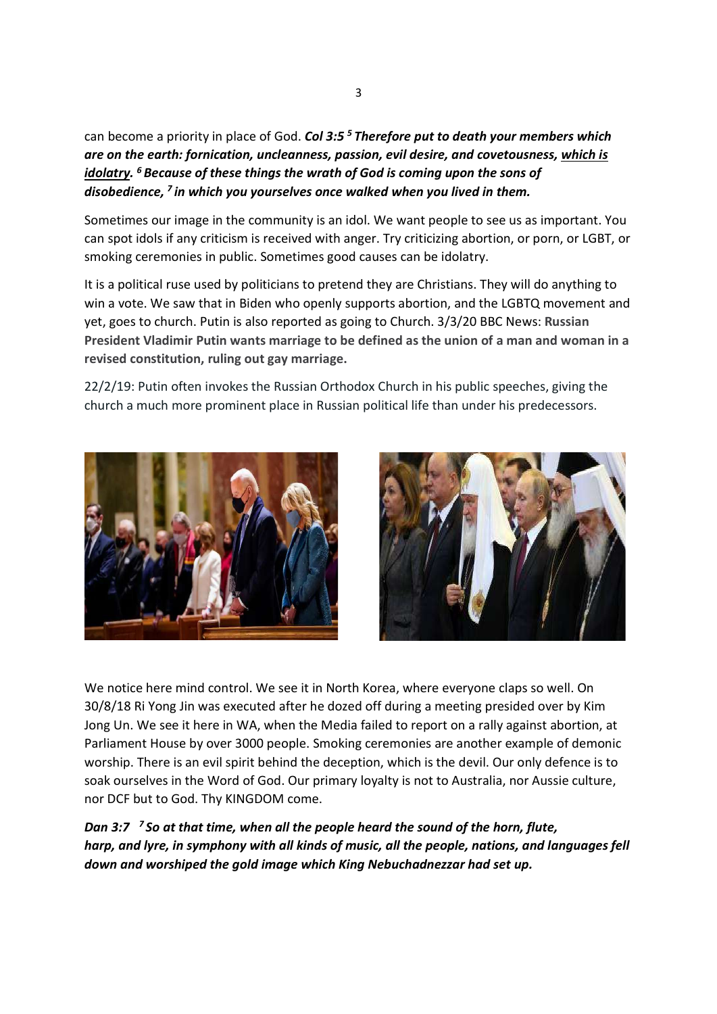can become a priority in place of God. Col 3:5<sup>5</sup> Therefore put to death your members which are on the earth: fornication, uncleanness, passion, evil desire, and covetousness, which is idolatry.  $6$  Because of these things the wrath of God is coming upon the sons of disobedience,  $<sup>7</sup>$  in which you yourselves once walked when you lived in them.</sup>

Sometimes our image in the community is an idol. We want people to see us as important. You can spot idols if any criticism is received with anger. Try criticizing abortion, or porn, or LGBT, or smoking ceremonies in public. Sometimes good causes can be idolatry.

It is a political ruse used by politicians to pretend they are Christians. They will do anything to win a vote. We saw that in Biden who openly supports abortion, and the LGBTQ movement and yet, goes to church. Putin is also reported as going to Church. 3/3/20 BBC News: Russian President Vladimir Putin wants marriage to be defined as the union of a man and woman in a revised constitution, ruling out gay marriage.

22/2/19: Putin often invokes the Russian Orthodox Church in his public speeches, giving the church a much more prominent place in Russian political life than under his predecessors.





We notice here mind control. We see it in North Korea, where everyone claps so well. On 30/8/18 Ri Yong Jin was executed after he dozed off during a meeting presided over by Kim Jong Un. We see it here in WA, when the Media failed to report on a rally against abortion, at Parliament House by over 3000 people. Smoking ceremonies are another example of demonic worship. There is an evil spirit behind the deception, which is the devil. Our only defence is to soak ourselves in the Word of God. Our primary loyalty is not to Australia, nor Aussie culture, nor DCF but to God. Thy KINGDOM come.

Dan 3:7  $\frac{7}{5}$  So at that time, when all the people heard the sound of the horn, flute, harp, and lyre, in symphony with all kinds of music, all the people, nations, and languages fell down and worshiped the gold image which King Nebuchadnezzar had set up.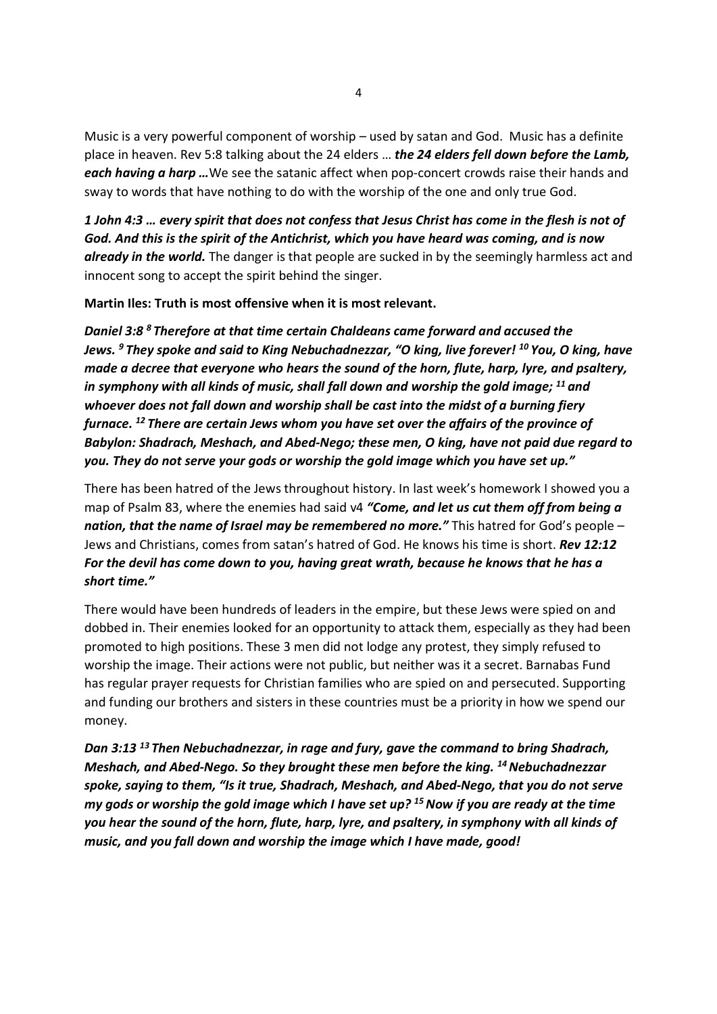Music is a very powerful component of worship – used by satan and God. Music has a definite place in heaven. Rev 5:8 talking about the 24 elders ... the 24 elders fell down before the Lamb, each having a harp ... We see the satanic affect when pop-concert crowds raise their hands and sway to words that have nothing to do with the worship of the one and only true God.

1 John 4:3 … every spirit that does not confess that Jesus Christ has come in the flesh is not of God. And this is the spirit of the Antichrist, which you have heard was coming, and is now **already in the world.** The danger is that people are sucked in by the seemingly harmless act and innocent song to accept the spirit behind the singer.

Martin Iles: Truth is most offensive when it is most relevant.

Daniel 3:8<sup>8</sup> Therefore at that time certain Chaldeans came forward and accused the Jews.  $9$  They spoke and said to Kina Nebuchadnezzar, "O kina, live forever!  $^{10}$  You, O kina, have made a decree that everyone who hears the sound of the horn, flute, harp, lyre, and psaltery, in symphony with all kinds of music, shall fall down and worship the gold image;  $^{11}$  and whoever does not fall down and worship shall be cast into the midst of a burning fiery furnace. <sup>12</sup> There are certain Jews whom you have set over the affairs of the province of Babylon: Shadrach, Meshach, and Abed-Nego; these men, O king, have not paid due regard to you. They do not serve your gods or worship the gold image which you have set up."

There has been hatred of the Jews throughout history. In last week's homework I showed you a map of Psalm 83, where the enemies had said v4 "Come, and let us cut them off from being a nation, that the name of Israel may be remembered no more." This hatred for God's people  $-$ Jews and Christians, comes from satan's hatred of God. He knows his time is short. Rev 12:12 For the devil has come down to you, having great wrath, because he knows that he has a short time."

There would have been hundreds of leaders in the empire, but these Jews were spied on and dobbed in. Their enemies looked for an opportunity to attack them, especially as they had been promoted to high positions. These 3 men did not lodge any protest, they simply refused to worship the image. Their actions were not public, but neither was it a secret. Barnabas Fund has regular prayer requests for Christian families who are spied on and persecuted. Supporting and funding our brothers and sisters in these countries must be a priority in how we spend our money.

Dan 3:13<sup>13</sup> Then Nebuchadnezzar, in rage and fury, gave the command to bring Shadrach, Meshach, and Abed-Nego. So they brought these men before the king. <sup>14</sup> Nebuchadnezzar spoke, saying to them, "Is it true, Shadrach, Meshach, and Abed-Nego, that you do not serve my gods or worship the gold image which I have set up?  $15$  Now if you are ready at the time you hear the sound of the horn, flute, harp, lyre, and psaltery, in symphony with all kinds of music, and you fall down and worship the image which I have made, good!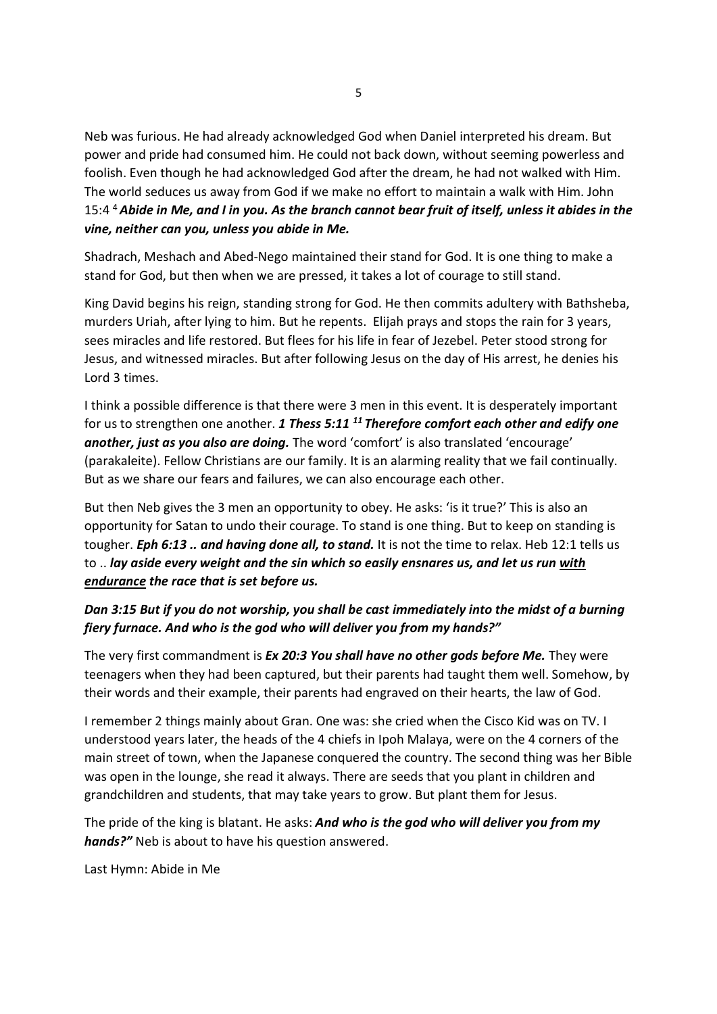Neb was furious. He had already acknowledged God when Daniel interpreted his dream. But power and pride had consumed him. He could not back down, without seeming powerless and foolish. Even though he had acknowledged God after the dream, he had not walked with Him. The world seduces us away from God if we make no effort to maintain a walk with Him. John 15:4<sup>4</sup> Abide in Me, and I in you. As the branch cannot bear fruit of itself, unless it abides in the vine, neither can you, unless you abide in Me.

Shadrach, Meshach and Abed-Nego maintained their stand for God. It is one thing to make a stand for God, but then when we are pressed, it takes a lot of courage to still stand.

King David begins his reign, standing strong for God. He then commits adultery with Bathsheba, murders Uriah, after lying to him. But he repents. Elijah prays and stops the rain for 3 years, sees miracles and life restored. But flees for his life in fear of Jezebel. Peter stood strong for Jesus, and witnessed miracles. But after following Jesus on the day of His arrest, he denies his Lord 3 times.

I think a possible difference is that there were 3 men in this event. It is desperately important for us to strengthen one another. 1 Thess 5:11  $^{11}$  Therefore comfort each other and edify one another, just as you also are doing. The word 'comfort' is also translated 'encourage' (parakaleite). Fellow Christians are our family. It is an alarming reality that we fail continually. But as we share our fears and failures, we can also encourage each other.

But then Neb gives the 3 men an opportunity to obey. He asks: 'is it true?' This is also an opportunity for Satan to undo their courage. To stand is one thing. But to keep on standing is tougher. Eph 6:13 .. and having done all, to stand. It is not the time to relax. Heb 12:1 tells us to .. lay aside every weight and the sin which so easily ensnares us, and let us run with endurance the race that is set before us.

## Dan 3:15 But if you do not worship, you shall be cast immediately into the midst of a burning fiery furnace. And who is the god who will deliver you from my hands?"

The very first commandment is Ex 20:3 You shall have no other gods before Me. They were teenagers when they had been captured, but their parents had taught them well. Somehow, by their words and their example, their parents had engraved on their hearts, the law of God.

I remember 2 things mainly about Gran. One was: she cried when the Cisco Kid was on TV. I understood years later, the heads of the 4 chiefs in Ipoh Malaya, were on the 4 corners of the main street of town, when the Japanese conquered the country. The second thing was her Bible was open in the lounge, she read it always. There are seeds that you plant in children and grandchildren and students, that may take years to grow. But plant them for Jesus.

The pride of the king is blatant. He asks: And who is the god who will deliver you from my hands?" Neb is about to have his question answered.

Last Hymn: Abide in Me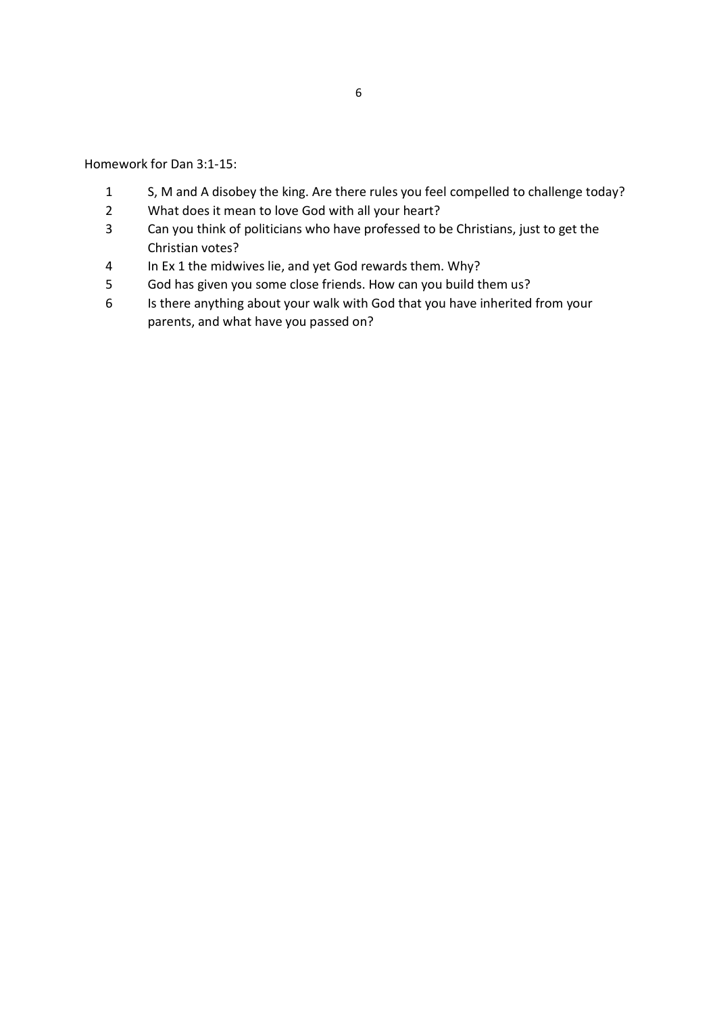Homework for Dan 3:1-15:

- S, M and A disobey the king. Are there rules you feel compelled to challenge today?
- What does it mean to love God with all your heart?
- Can you think of politicians who have professed to be Christians, just to get the Christian votes?
- In Ex 1 the midwives lie, and yet God rewards them. Why?
- God has given you some close friends. How can you build them us?
- Is there anything about your walk with God that you have inherited from your parents, and what have you passed on?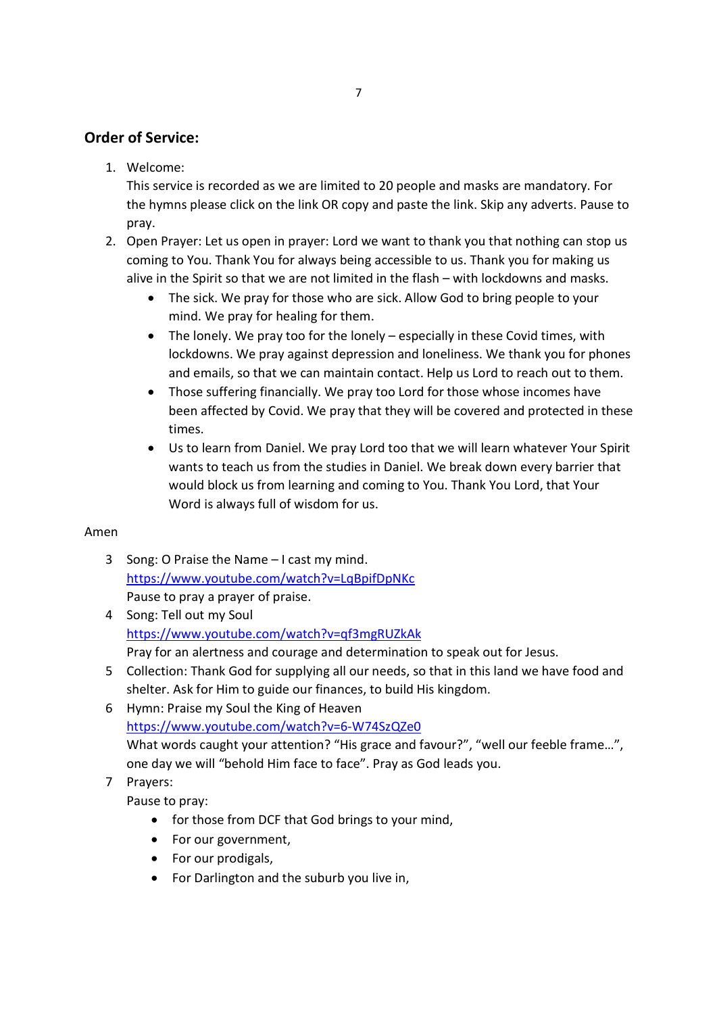## Order of Service:

1. Welcome:

This service is recorded as we are limited to 20 people and masks are mandatory. For the hymns please click on the link OR copy and paste the link. Skip any adverts. Pause to pray.

- 2. Open Prayer: Let us open in prayer: Lord we want to thank you that nothing can stop us coming to You. Thank You for always being accessible to us. Thank you for making us alive in the Spirit so that we are not limited in the flash – with lockdowns and masks.
	- The sick. We pray for those who are sick. Allow God to bring people to your mind. We pray for healing for them.
	- The lonely. We pray too for the lonely especially in these Covid times, with lockdowns. We pray against depression and loneliness. We thank you for phones and emails, so that we can maintain contact. Help us Lord to reach out to them.
	- Those suffering financially. We pray too Lord for those whose incomes have been affected by Covid. We pray that they will be covered and protected in these times.
	- Us to learn from Daniel. We pray Lord too that we will learn whatever Your Spirit wants to teach us from the studies in Daniel. We break down every barrier that would block us from learning and coming to You. Thank You Lord, that Your Word is always full of wisdom for us.

### Amen

- 3 Song: O Praise the Name I cast my mind. https://www.youtube.com/watch?v=LqBpifDpNKc Pause to pray a prayer of praise.
- 4 Song: Tell out my Soul https://www.youtube.com/watch?v=qf3mgRUZkAk Pray for an alertness and courage and determination to speak out for Jesus.
- 5 Collection: Thank God for supplying all our needs, so that in this land we have food and shelter. Ask for Him to guide our finances, to build His kingdom.
- 6 Hymn: Praise my Soul the King of Heaven https://www.youtube.com/watch?v=6-W74SzQZe0 What words caught your attention? "His grace and favour?", "well our feeble frame...", one day we will "behold Him face to face". Pray as God leads you.

## 7 Prayers:

Pause to pray:

- for those from DCF that God brings to your mind,
- For our government,
- For our prodigals,
- For Darlington and the suburb you live in,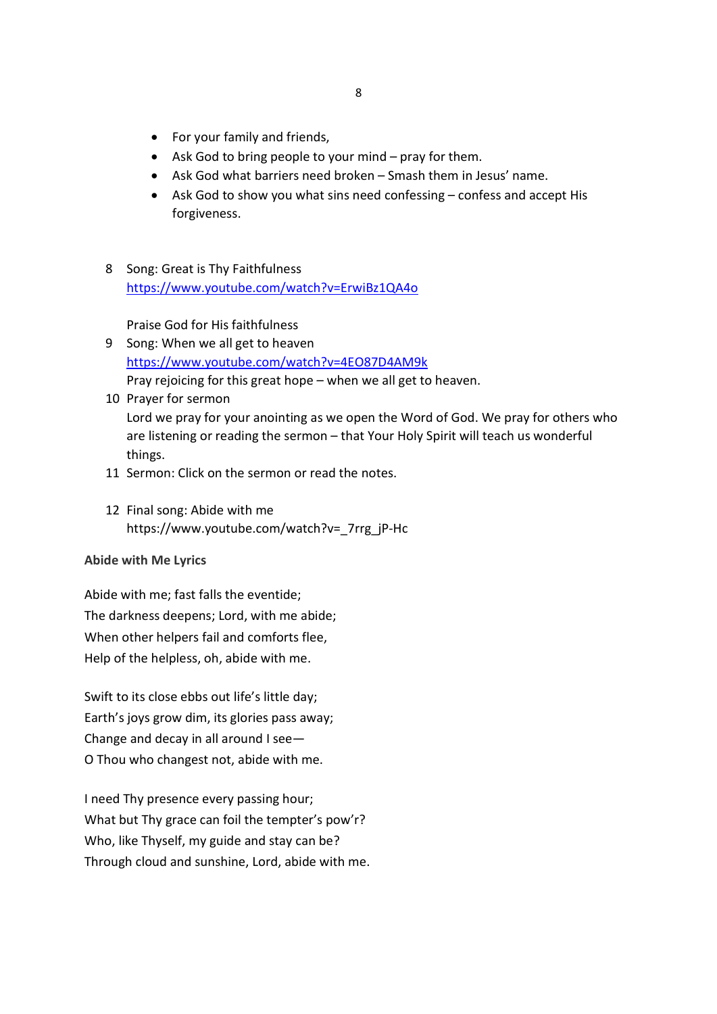- For your family and friends,
- Ask God to bring people to your mind pray for them.
- Ask God what barriers need broken Smash them in Jesus' name.
- Ask God to show you what sins need confessing confess and accept His forgiveness.
- 8 Song: Great is Thy Faithfulness https://www.youtube.com/watch?v=ErwiBz1QA4o

Praise God for His faithfulness

- 9 Song: When we all get to heaven https://www.youtube.com/watch?v=4EO87D4AM9k Pray rejoicing for this great hope – when we all get to heaven.
- 10 Prayer for sermon Lord we pray for your anointing as we open the Word of God. We pray for others who are listening or reading the sermon – that Your Holy Spirit will teach us wonderful things.
- 11 Sermon: Click on the sermon or read the notes.
- 12 Final song: Abide with me https://www.youtube.com/watch?v=\_7rrg\_jP-Hc

#### Abide with Me Lyrics

Abide with me; fast falls the eventide; The darkness deepens; Lord, with me abide; When other helpers fail and comforts flee, Help of the helpless, oh, abide with me.

Swift to its close ebbs out life's little day; Earth's joys grow dim, its glories pass away; Change and decay in all around I see— O Thou who changest not, abide with me.

I need Thy presence every passing hour; What but Thy grace can foil the tempter's pow'r? Who, like Thyself, my guide and stay can be? Through cloud and sunshine, Lord, abide with me.